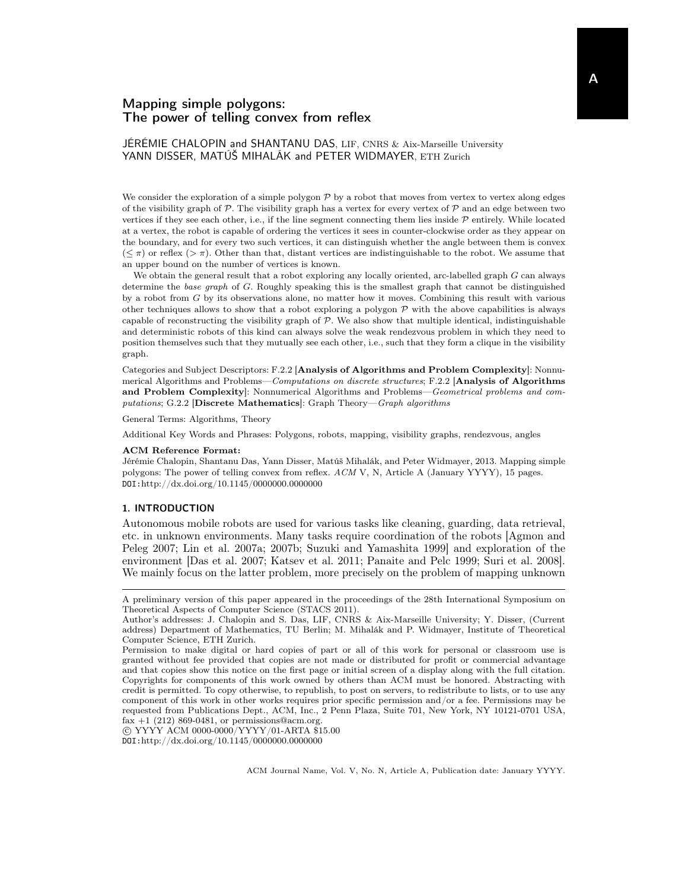JÉRÉMIE CHALOPIN and SHANTANU DAS, LIF, CNRS & Aix-Marseille University YANN DISSER, MATÚŠ MIHALÁK and PETER WIDMAYER, ETH Zurich

We consider the exploration of a simple polygon  $P$  by a robot that moves from vertex to vertex along edges of the visibility graph of  $P$ . The visibility graph has a vertex for every vertex of  $P$  and an edge between two vertices if they see each other, i.e., if the line segment connecting them lies inside  $\mathcal P$  entirely. While located at a vertex, the robot is capable of ordering the vertices it sees in counter-clockwise order as they appear on the boundary, and for every two such vertices, it can distinguish whether the angle between them is convex  $(\leq \pi)$  or reflex  $(>\pi)$ . Other than that, distant vertices are indistinguishable to the robot. We assume that an upper bound on the number of vertices is known.

We obtain the general result that a robot exploring any locally oriented, arc-labelled graph G can always determine the base graph of G. Roughly speaking this is the smallest graph that cannot be distinguished by a robot from G by its observations alone, no matter how it moves. Combining this result with various other techniques allows to show that a robot exploring a polygon  $P$  with the above capabilities is always capable of reconstructing the visibility graph of  $P$ . We also show that multiple identical, indistinguishable and deterministic robots of this kind can always solve the weak rendezvous problem in which they need to position themselves such that they mutually see each other, i.e., such that they form a clique in the visibility graph.

Categories and Subject Descriptors: F.2.2 [Analysis of Algorithms and Problem Complexity]: Nonnumerical Algorithms and Problems—Computations on discrete structures; F.2.2 [Analysis of Algorithms and Problem Complexity]: Nonnumerical Algorithms and Problems—Geometrical problems and computations; G.2.2 [Discrete Mathematics]: Graph Theory—Graph algorithms

General Terms: Algorithms, Theory

Additional Key Words and Phrases: Polygons, robots, mapping, visibility graphs, rendezvous, angles

#### ACM Reference Format:

Jérémie Chalopin, Shantanu Das, Yann Disser, Matúš Mihalák, and Peter Widmayer, 2013. Mapping simple polygons: The power of telling convex from reflex. ACM V, N, Article A (January YYYY), 15 pages. DOI:http://dx.doi.org/10.1145/0000000.0000000

### 1. INTRODUCTION

Autonomous mobile robots are used for various tasks like cleaning, guarding, data retrieval, etc. in unknown environments. Many tasks require coordination of the robots [Agmon and Peleg 2007; Lin et al. 2007a; 2007b; Suzuki and Yamashita 1999] and exploration of the environment [Das et al. 2007; Katsev et al. 2011; Panaite and Pelc 1999; Suri et al. 2008]. We mainly focus on the latter problem, more precisely on the problem of mapping unknown

 c YYYY ACM 0000-0000/YYYY/01-ARTA \$15.00 DOI:http://dx.doi.org/10.1145/0000000.0000000

A preliminary version of this paper appeared in the proceedings of the 28th International Symposium on Theoretical Aspects of Computer Science (STACS 2011).

Author's addresses: J. Chalopin and S. Das, LIF, CNRS & Aix-Marseille University; Y. Disser, (Current address) Department of Mathematics, TU Berlin; M. Mihalák and P. Widmayer, Institute of Theoretical Computer Science, ETH Zurich.

Permission to make digital or hard copies of part or all of this work for personal or classroom use is granted without fee provided that copies are not made or distributed for profit or commercial advantage and that copies show this notice on the first page or initial screen of a display along with the full citation. Copyrights for components of this work owned by others than ACM must be honored. Abstracting with credit is permitted. To copy otherwise, to republish, to post on servers, to redistribute to lists, or to use any component of this work in other works requires prior specific permission and/or a fee. Permissions may be requested from Publications Dept., ACM, Inc., 2 Penn Plaza, Suite 701, New York, NY 10121-0701 USA, fax  $+1$  (212) 869-0481, or permissions@acm.org.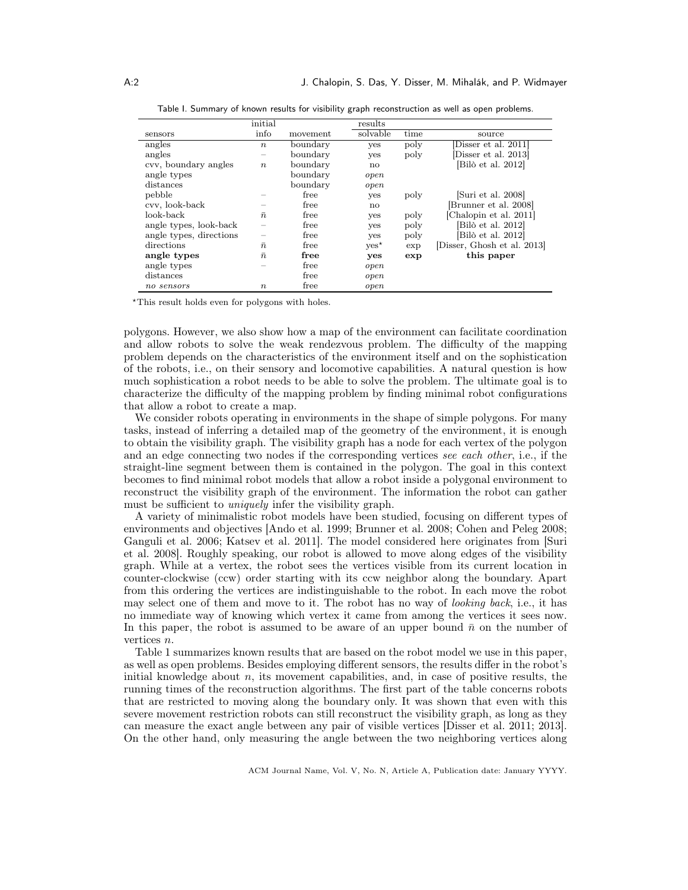|                         | initial          |          | results       |      |                             |
|-------------------------|------------------|----------|---------------|------|-----------------------------|
| sensors                 | info             | movement | solvable      | time | source                      |
| angles                  | $\boldsymbol{n}$ | boundary | yes           | poly | Disser et al. 2011          |
| angles                  | —                | boundary | yes           | poly | Disser et al. 2013          |
| cvv, boundary angles    | $\boldsymbol{n}$ | boundary | no            |      | [Bilò et al. 2012]          |
| angle types             |                  | boundary | open          |      |                             |
| distances               |                  | boundary | open          |      |                             |
| pebble                  |                  | free     | yes           | poly | [Suri et al. 2008]          |
| cvv, look-back          |                  | free     | no            |      | Brunner et al. 2008]        |
| look-back-              | $\bar{n}$        | free     | yes           | poly | [Chalopin et al. 2011]      |
| angle types, look-back  |                  | free     | yes           | poly | [Bilò et al. 2012]          |
| angle types, directions |                  | free     | yes           | poly | Bilò et al. 2012]           |
| directions              | $\bar{n}$        | free     | $yes^{\star}$ | exp  | [Disser, Ghosh et al. 2013] |
| angle types             | $\bar{n}$        | free     | yes           | exp  | this paper                  |
| angle types             |                  | free     | open          |      |                             |
| distances               |                  | free     | open          |      |                             |
| no sensors              | $\boldsymbol{n}$ | free     | open          |      |                             |

Table I. Summary of known results for visibility graph reconstruction as well as open problems.

?This result holds even for polygons with holes.

polygons. However, we also show how a map of the environment can facilitate coordination and allow robots to solve the weak rendezvous problem. The difficulty of the mapping problem depends on the characteristics of the environment itself and on the sophistication of the robots, i.e., on their sensory and locomotive capabilities. A natural question is how much sophistication a robot needs to be able to solve the problem. The ultimate goal is to characterize the difficulty of the mapping problem by finding minimal robot configurations that allow a robot to create a map.

We consider robots operating in environments in the shape of simple polygons. For many tasks, instead of inferring a detailed map of the geometry of the environment, it is enough to obtain the visibility graph. The visibility graph has a node for each vertex of the polygon and an edge connecting two nodes if the corresponding vertices see each other, i.e., if the straight-line segment between them is contained in the polygon. The goal in this context becomes to find minimal robot models that allow a robot inside a polygonal environment to reconstruct the visibility graph of the environment. The information the robot can gather must be sufficient to *uniquely* infer the visibility graph.

A variety of minimalistic robot models have been studied, focusing on different types of environments and objectives [Ando et al. 1999; Brunner et al. 2008; Cohen and Peleg 2008; Ganguli et al. 2006; Katsev et al. 2011]. The model considered here originates from [Suri et al. 2008]. Roughly speaking, our robot is allowed to move along edges of the visibility graph. While at a vertex, the robot sees the vertices visible from its current location in counter-clockwise (ccw) order starting with its ccw neighbor along the boundary. Apart from this ordering the vertices are indistinguishable to the robot. In each move the robot may select one of them and move to it. The robot has no way of looking back, i.e., it has no immediate way of knowing which vertex it came from among the vertices it sees now. In this paper, the robot is assumed to be aware of an upper bound  $\bar{n}$  on the number of vertices n.

Table 1 summarizes known results that are based on the robot model we use in this paper, as well as open problems. Besides employing different sensors, the results differ in the robot's initial knowledge about  $n$ , its movement capabilities, and, in case of positive results, the running times of the reconstruction algorithms. The first part of the table concerns robots that are restricted to moving along the boundary only. It was shown that even with this severe movement restriction robots can still reconstruct the visibility graph, as long as they can measure the exact angle between any pair of visible vertices [Disser et al. 2011; 2013]. On the other hand, only measuring the angle between the two neighboring vertices along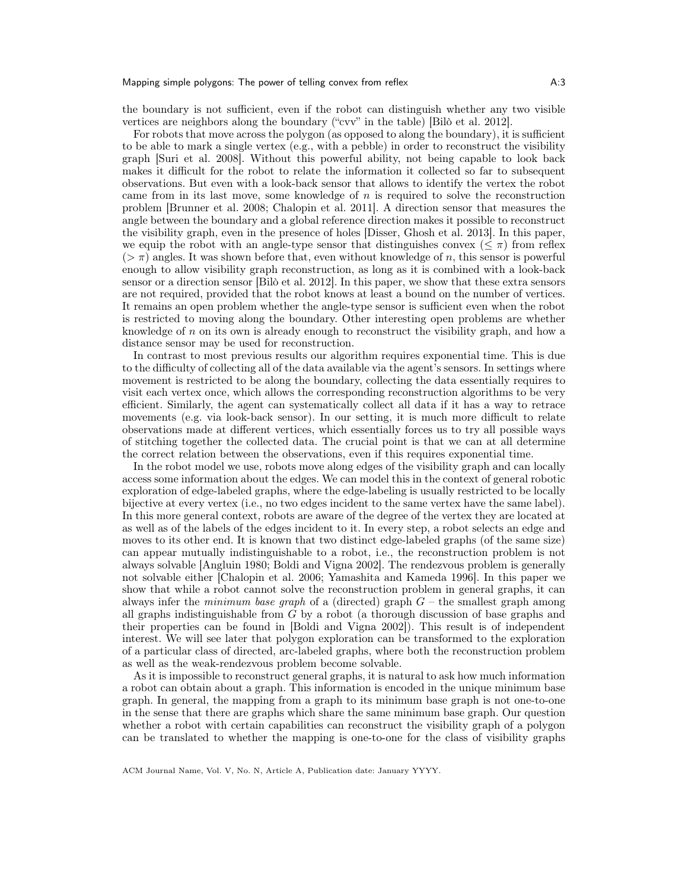the boundary is not sufficient, even if the robot can distinguish whether any two visible vertices are neighbors along the boundary ("cvv" in the table) [Bilò et al. 2012].

For robots that move across the polygon (as opposed to along the boundary), it is sufficient to be able to mark a single vertex (e.g., with a pebble) in order to reconstruct the visibility graph [Suri et al. 2008]. Without this powerful ability, not being capable to look back makes it difficult for the robot to relate the information it collected so far to subsequent observations. But even with a look-back sensor that allows to identify the vertex the robot came from in its last move, some knowledge of  $n$  is required to solve the reconstruction problem [Brunner et al. 2008; Chalopin et al. 2011]. A direction sensor that measures the angle between the boundary and a global reference direction makes it possible to reconstruct the visibility graph, even in the presence of holes [Disser, Ghosh et al. 2013]. In this paper, we equip the robot with an angle-type sensor that distinguishes convex ( $\leq \pi$ ) from reflex  $(>\pi)$  angles. It was shown before that, even without knowledge of n, this sensor is powerful enough to allow visibility graph reconstruction, as long as it is combined with a look-back sensor or a direction sensor [Bilò et al. 2012]. In this paper, we show that these extra sensors are not required, provided that the robot knows at least a bound on the number of vertices. It remains an open problem whether the angle-type sensor is sufficient even when the robot is restricted to moving along the boundary. Other interesting open problems are whether knowledge of  $n$  on its own is already enough to reconstruct the visibility graph, and how a distance sensor may be used for reconstruction.

In contrast to most previous results our algorithm requires exponential time. This is due to the difficulty of collecting all of the data available via the agent's sensors. In settings where movement is restricted to be along the boundary, collecting the data essentially requires to visit each vertex once, which allows the corresponding reconstruction algorithms to be very efficient. Similarly, the agent can systematically collect all data if it has a way to retrace movements (e.g. via look-back sensor). In our setting, it is much more difficult to relate observations made at different vertices, which essentially forces us to try all possible ways of stitching together the collected data. The crucial point is that we can at all determine the correct relation between the observations, even if this requires exponential time.

In the robot model we use, robots move along edges of the visibility graph and can locally access some information about the edges. We can model this in the context of general robotic exploration of edge-labeled graphs, where the edge-labeling is usually restricted to be locally bijective at every vertex (i.e., no two edges incident to the same vertex have the same label). In this more general context, robots are aware of the degree of the vertex they are located at as well as of the labels of the edges incident to it. In every step, a robot selects an edge and moves to its other end. It is known that two distinct edge-labeled graphs (of the same size) can appear mutually indistinguishable to a robot, i.e., the reconstruction problem is not always solvable [Angluin 1980; Boldi and Vigna 2002]. The rendezvous problem is generally not solvable either [Chalopin et al. 2006; Yamashita and Kameda 1996]. In this paper we show that while a robot cannot solve the reconstruction problem in general graphs, it can always infer the *minimum base graph* of a (directed) graph  $G$  – the smallest graph among all graphs indistinguishable from G by a robot (a thorough discussion of base graphs and their properties can be found in [Boldi and Vigna 2002]). This result is of independent interest. We will see later that polygon exploration can be transformed to the exploration of a particular class of directed, arc-labeled graphs, where both the reconstruction problem as well as the weak-rendezvous problem become solvable.

As it is impossible to reconstruct general graphs, it is natural to ask how much information a robot can obtain about a graph. This information is encoded in the unique minimum base graph. In general, the mapping from a graph to its minimum base graph is not one-to-one in the sense that there are graphs which share the same minimum base graph. Our question whether a robot with certain capabilities can reconstruct the visibility graph of a polygon can be translated to whether the mapping is one-to-one for the class of visibility graphs

ACM Journal Name, Vol. V, No. N, Article A, Publication date: January YYYY.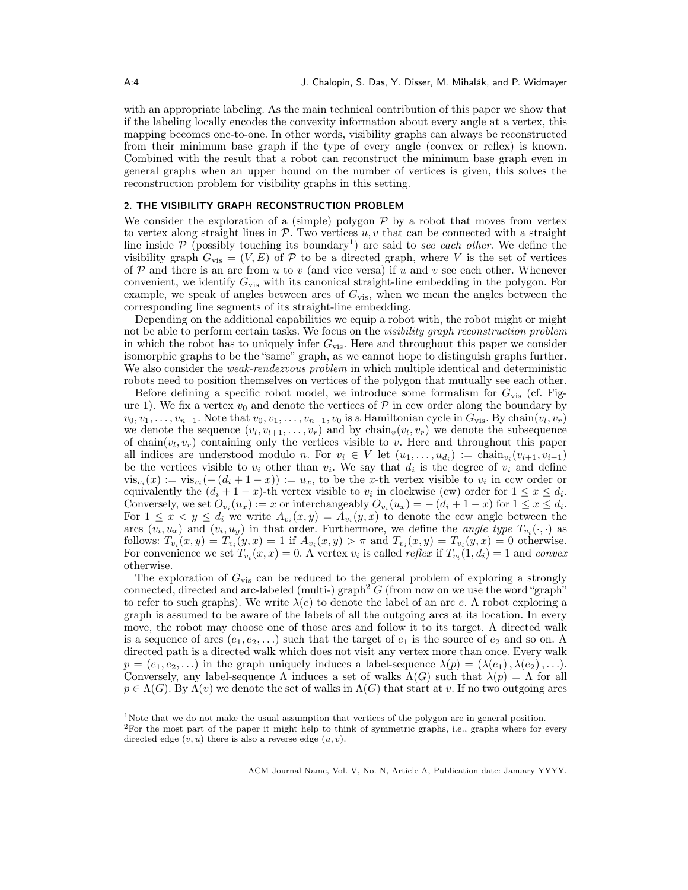with an appropriate labeling. As the main technical contribution of this paper we show that if the labeling locally encodes the convexity information about every angle at a vertex, this mapping becomes one-to-one. In other words, visibility graphs can always be reconstructed from their minimum base graph if the type of every angle (convex or reflex) is known. Combined with the result that a robot can reconstruct the minimum base graph even in general graphs when an upper bound on the number of vertices is given, this solves the reconstruction problem for visibility graphs in this setting.

# 2. THE VISIBILITY GRAPH RECONSTRUCTION PROBLEM

We consider the exploration of a (simple) polygon  $P$  by a robot that moves from vertex to vertex along straight lines in  $\mathcal{P}$ . Two vertices  $u, v$  that can be connected with a straight line inside  $P$  (possibly touching its boundary<sup>1</sup>) are said to see each other. We define the visibility graph  $G_{\text{vis}} = (V, E)$  of P to be a directed graph, where V is the set of vertices of  $P$  and there is an arc from u to v (and vice versa) if u and v see each other. Whenever convenient, we identify  $G_{\text{vis}}$  with its canonical straight-line embedding in the polygon. For example, we speak of angles between arcs of  $G_{\text{vis}}$ , when we mean the angles between the corresponding line segments of its straight-line embedding.

Depending on the additional capabilities we equip a robot with, the robot might or might not be able to perform certain tasks. We focus on the *visibility graph reconstruction problem* in which the robot has to uniquely infer  $G_{vis}$ . Here and throughout this paper we consider isomorphic graphs to be the "same" graph, as we cannot hope to distinguish graphs further. We also consider the *weak-rendezvous problem* in which multiple identical and deterministic robots need to position themselves on vertices of the polygon that mutually see each other.

Before defining a specific robot model, we introduce some formalism for  $G_{\rm vis}$  (cf. Figure 1). We fix a vertex  $v_0$  and denote the vertices of  $\mathcal P$  in ccw order along the boundary by  $v_0, v_1, \ldots, v_{n-1}$ . Note that  $v_0, v_1, \ldots, v_{n-1}, v_0$  is a Hamiltonian cycle in  $G_{\text{vis}}$ . By chain $(v_l, v_r)$ we denote the sequence  $(v_l, v_{l+1}, \ldots, v_r)$  and by chain $_v(v_l, v_r)$  we denote the subsequence of chain $(v_l, v_r)$  containing only the vertices visible to v. Here and throughout this paper all indices are understood modulo *n*. For  $v_i \in V$  let  $(u_1, \ldots, u_{d_i}) := \text{chain}_{v_i}(v_{i+1}, v_{i-1})$ be the vertices visible to  $v_i$  other than  $v_i$ . We say that  $d_i$  is the degree of  $v_i$  and define  $\operatorname{vis}_{v_i}(x) := \operatorname{vis}_{v_i}(- (d_i + 1 - x)) := u_x$ , to be the x-th vertex visible to  $v_i$  in ccw order or equivalently the  $(d_i + 1 - x)$ -th vertex visible to  $v_i$  in clockwise (cw) order for  $1 \leq x \leq d_i$ . Conversely, we set  $O_{v_i}(u_x) := x$  or interchangeably  $O_{v_i}(u_x) = -(d_i + 1 - x)$  for  $1 \le x \le d_i$ . For  $1 \leq x \leq y \leq d_i$  we write  $A_{v_i}(x, y) = A_{v_i}(y, x)$  to denote the ccw angle between the arcs  $(v_i, u_x)$  and  $(v_i, u_y)$  in that order. Furthermore, we define the *angle type*  $T_{v_i}(\cdot, \cdot)$  as follows:  $T_{v_i}(x, y) = T_{v_i}(y, x) = 1$  if  $A_{v_i}(x, y) > \pi$  and  $T_{v_i}(x, y) = T_{v_i}(y, x) = 0$  otherwise. For convenience we set  $T_{v_i}(x, x) = 0$ . A vertex  $v_i$  is called *reflex* if  $T_{v_i}(1, d_i) = 1$  and *convex* otherwise.

The exploration of  $G_{\text{vis}}$  can be reduced to the general problem of exploring a strongly connected, directed and arc-labeled (multi-) graph<sup>2</sup> G (from now on we use the word "graph" to refer to such graphs). We write  $\lambda(e)$  to denote the label of an arc e. A robot exploring a graph is assumed to be aware of the labels of all the outgoing arcs at its location. In every move, the robot may choose one of those arcs and follow it to its target. A directed walk is a sequence of arcs  $(e_1, e_2, \ldots)$  such that the target of  $e_1$  is the source of  $e_2$  and so on. A directed path is a directed walk which does not visit any vertex more than once. Every walk  $p = (e_1, e_2, \ldots)$  in the graph uniquely induces a label-sequence  $\lambda(p) = (\lambda(e_1), \lambda(e_2), \ldots)$ . Conversely, any label-sequence  $\Lambda$  induces a set of walks  $\Lambda(G)$  such that  $\lambda(p) = \Lambda$  for all  $p \in \Lambda(G)$ . By  $\Lambda(v)$  we denote the set of walks in  $\Lambda(G)$  that start at v. If no two outgoing arcs

<sup>&</sup>lt;sup>1</sup>Note that we do not make the usual assumption that vertices of the polygon are in general position.

<sup>2</sup>For the most part of the paper it might help to think of symmetric graphs, i.e., graphs where for every directed edge  $(v, u)$  there is also a reverse edge  $(u, v)$ .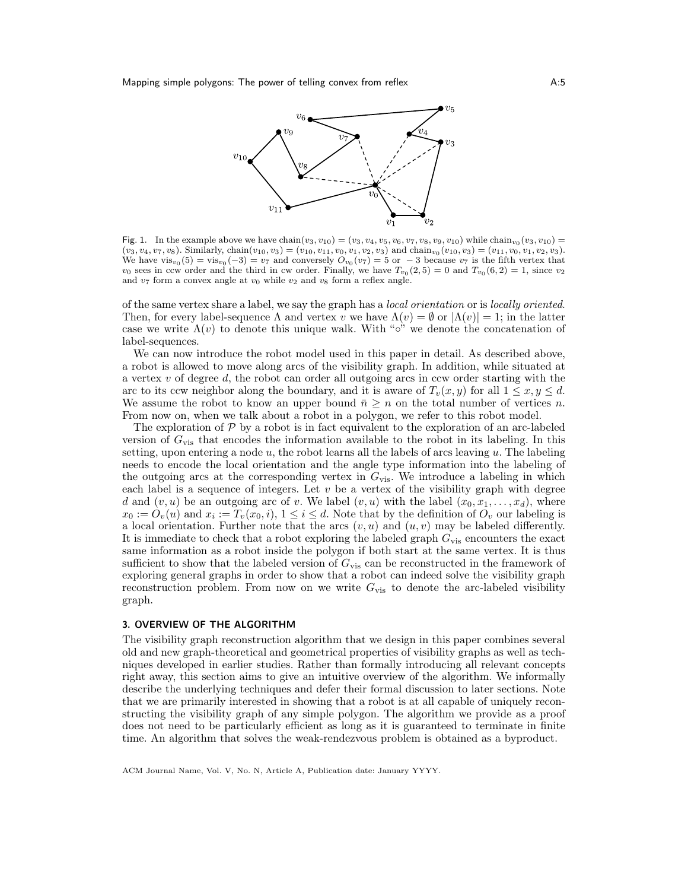

Fig. 1. In the example above we have chain( $v_3, v_{10}$ ) = ( $v_3, v_4, v_5, v_6, v_7, v_8, v_9, v_{10}$ ) while chain $v_0$ ( $v_3, v_{10}$ ) =  $(v_3, v_4, v_7, v_8)$ . Similarly, chain $(v_{10}, v_3) = (v_{10}, v_{11}, v_0, v_1, v_2, v_3)$  and chain $v_0(v_{10}, v_3) = (v_{11}, v_0, v_1, v_2, v_3)$ . We have  $vis_{v_0}(5) = vis_{v_0}(-3) = v_7$  and conversely  $O_{v_0}(v_7) = 5$  or  $-3$  because  $v_7$  is the fifth vertex that  $v_0$  sees in ccw order and the third in cw order. Finally, we have  $T_{v_0}(2,5) = 0$  and  $T_{v_0}(6,2) = 1$ , since  $v_2$ and  $v_7$  form a convex angle at  $v_0$  while  $v_2$  and  $v_8$  form a reflex angle.

of the same vertex share a label, we say the graph has a local orientation or is locally oriented. Then, for every label-sequence  $\Lambda$  and vertex v we have  $\Lambda(v) = \emptyset$  or  $|\Lambda(v)| = 1$ ; in the latter case we write  $\Lambda(v)$  to denote this unique walk. With "∘" we denote the concatenation of label-sequences.

We can now introduce the robot model used in this paper in detail. As described above, a robot is allowed to move along arcs of the visibility graph. In addition, while situated at a vertex  $v$  of degree  $d$ , the robot can order all outgoing arcs in ccw order starting with the arc to its ccw neighbor along the boundary, and it is aware of  $T_v(x, y)$  for all  $1 \leq x, y \leq d$ . We assume the robot to know an upper bound  $\bar{n} \geq n$  on the total number of vertices n. From now on, when we talk about a robot in a polygon, we refer to this robot model.

The exploration of  $P$  by a robot is in fact equivalent to the exploration of an arc-labeled version of  $G_{\text{vis}}$  that encodes the information available to the robot in its labeling. In this setting, upon entering a node  $u$ , the robot learns all the labels of arcs leaving  $u$ . The labeling needs to encode the local orientation and the angle type information into the labeling of the outgoing arcs at the corresponding vertex in  $G_{\text{vis}}$ . We introduce a labeling in which each label is a sequence of integers. Let  $v$  be a vertex of the visibility graph with degree d and  $(v, u)$  be an outgoing arc of v. We label  $(v, u)$  with the label  $(x_0, x_1, \ldots, x_d)$ , where  $x_0 := O_v(u)$  and  $x_i := T_v(x_0, i)$ ,  $1 \leq i \leq d$ . Note that by the definition of  $O_v$  our labeling is a local orientation. Further note that the arcs  $(v, u)$  and  $(u, v)$  may be labeled differently. It is immediate to check that a robot exploring the labeled graph  $G_{\text{vis}}$  encounters the exact same information as a robot inside the polygon if both start at the same vertex. It is thus sufficient to show that the labeled version of  $G_{\text{vis}}$  can be reconstructed in the framework of exploring general graphs in order to show that a robot can indeed solve the visibility graph reconstruction problem. From now on we write  $G_{\text{vis}}$  to denote the arc-labeled visibility graph.

### 3. OVERVIEW OF THE ALGORITHM

The visibility graph reconstruction algorithm that we design in this paper combines several old and new graph-theoretical and geometrical properties of visibility graphs as well as techniques developed in earlier studies. Rather than formally introducing all relevant concepts right away, this section aims to give an intuitive overview of the algorithm. We informally describe the underlying techniques and defer their formal discussion to later sections. Note that we are primarily interested in showing that a robot is at all capable of uniquely reconstructing the visibility graph of any simple polygon. The algorithm we provide as a proof does not need to be particularly efficient as long as it is guaranteed to terminate in finite time. An algorithm that solves the weak-rendezvous problem is obtained as a byproduct.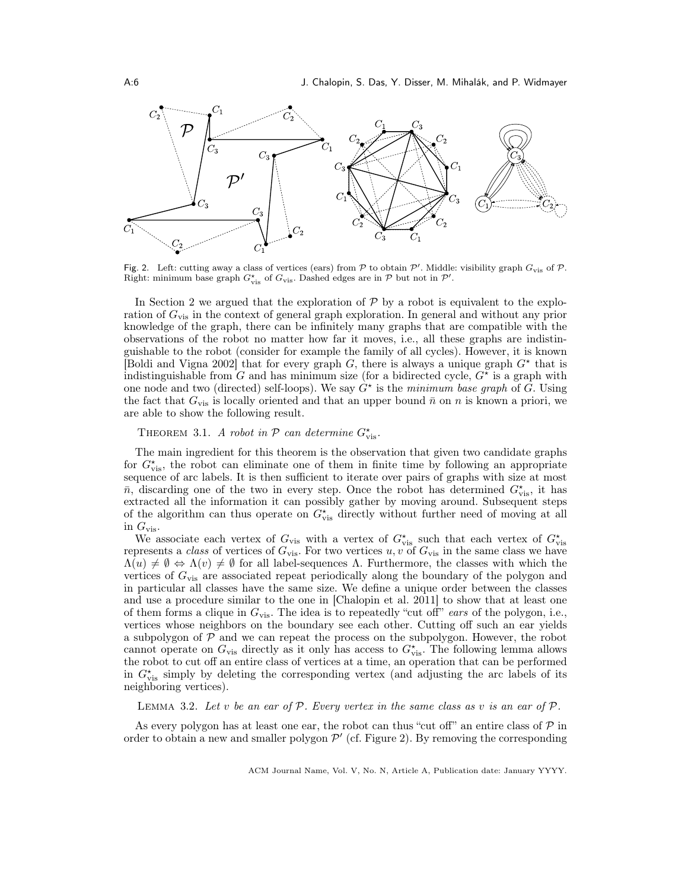

Fig. 2. Left: cutting away a class of vertices (ears) from  $P$  to obtain  $P'$ . Middle: visibility graph  $G_{\rm vis}$  of  $P$ . Right: minimum base graph  $G_{\text{vis}}^{\star}$  of  $G_{\text{vis}}$ . Dashed edges are in  $P$  but not in  $P'$ .

In Section 2 we argued that the exploration of  $P$  by a robot is equivalent to the exploration of  $G_{\text{vis}}$  in the context of general graph exploration. In general and without any prior knowledge of the graph, there can be infinitely many graphs that are compatible with the observations of the robot no matter how far it moves, i.e., all these graphs are indistinguishable to the robot (consider for example the family of all cycles). However, it is known Boldi and Vigna 2002 that for every graph G, there is always a unique graph  $G^*$  that is indistinguishable from G and has minimum size (for a bidirected cycle,  $G^*$  is a graph with one node and two (directed) self-loops). We say  $\hat{G}^{\star}$  is the minimum base graph of G. Using the fact that  $G_{\text{vis}}$  is locally oriented and that an upper bound  $\bar{n}$  on n is known a priori, we are able to show the following result.

THEOREM 3.1. A robot in  $P$  can determine  $G_{vis}^*$ .

The main ingredient for this theorem is the observation that given two candidate graphs for  $G_{\text{vis}}^*$ , the robot can eliminate one of them in finite time by following an appropriate sequence of arc labels. It is then sufficient to iterate over pairs of graphs with size at most  $\bar{n}$ , discarding one of the two in every step. Once the robot has determined  $G_{\text{vis}}^{\star}$ , it has extracted all the information it can possibly gather by moving around. Subsequent steps of the algorithm can thus operate on  $G_{\text{vis}}^{\star}$  directly without further need of moving at all in  $G_{\text{vis}}$ .

We associate each vertex of  $G_{\text{vis}}$  with a vertex of  $G_{\text{vis}}^{\star}$  such that each vertex of  $G_{\text{vis}}^{\star}$ represents a class of vertices of  $G_{\text{vis}}$ . For two vertices u, v of  $G_{\text{vis}}$  in the same class we have  $\Lambda(u) \neq \emptyset \Leftrightarrow \Lambda(v) \neq \emptyset$  for all label-sequences  $\Lambda$ . Furthermore, the classes with which the vertices of  $G_{\text{vis}}$  are associated repeat periodically along the boundary of the polygon and in particular all classes have the same size. We define a unique order between the classes and use a procedure similar to the one in [Chalopin et al. 2011] to show that at least one of them forms a clique in  $G_{\text{vis}}$ . The idea is to repeatedly "cut off" ears of the polygon, i.e., vertices whose neighbors on the boundary see each other. Cutting off such an ear yields a subpolygon of  $\mathcal P$  and we can repeat the process on the subpolygon. However, the robot cannot operate on  $G_{\text{vis}}$  directly as it only has access to  $G_{\text{vis}}^*$ . The following lemma allows the robot to cut off an entire class of vertices at a time, an operation that can be performed in  $G_{\text{vis}}^{\star}$  simply by deleting the corresponding vertex (and adjusting the arc labels of its neighboring vertices).

LEMMA 3.2. Let v be an ear of  $P$ . Every vertex in the same class as v is an ear of  $P$ .

As every polygon has at least one ear, the robot can thus "cut off" an entire class of  $\mathcal{P}$  in order to obtain a new and smaller polygon  $\mathcal{P}'$  (cf. Figure 2). By removing the corresponding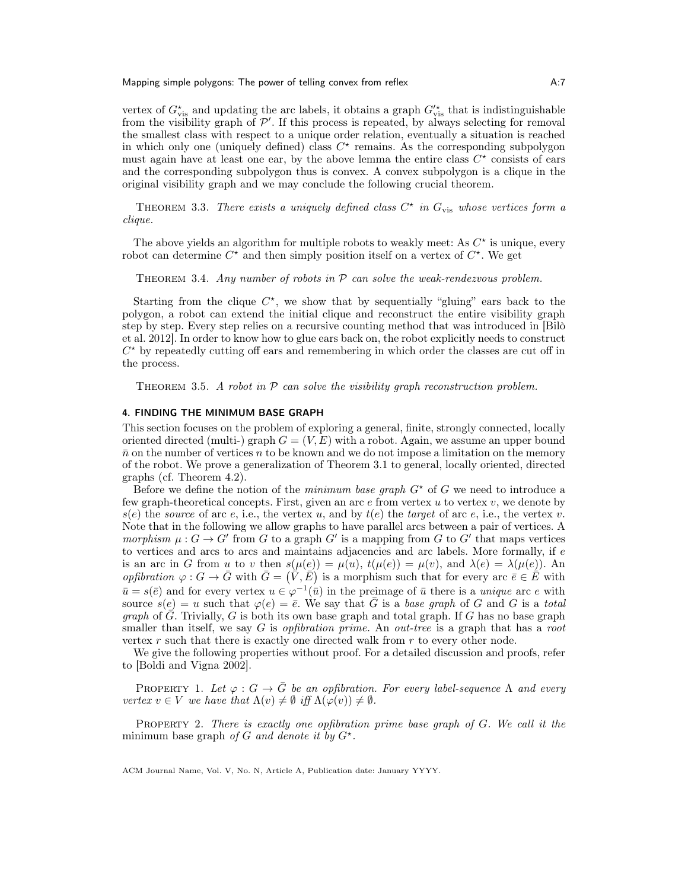vertex of  $G^{\star}_{\text{vis}}$  and updating the arc labels, it obtains a graph  $G'^{\star}_{\text{vis}}$  that is indistinguishable from the visibility graph of  $\mathcal{P}'$ . If this process is repeated, by always selecting for removal the smallest class with respect to a unique order relation, eventually a situation is reached in which only one (uniquely defined) class  $C^*$  remains. As the corresponding subpolygon must again have at least one ear, by the above lemma the entire class  $C^*$  consists of ears and the corresponding subpolygon thus is convex. A convex subpolygon is a clique in the original visibility graph and we may conclude the following crucial theorem.

THEOREM 3.3. There exists a uniquely defined class  $C^*$  in  $G_{\text{vis}}$  whose vertices form a clique.

The above yields an algorithm for multiple robots to weakly meet: As  $C^*$  is unique, every robot can determine  $C^*$  and then simply position itself on a vertex of  $C^*$ . We get

THEOREM 3.4. Any number of robots in  $P$  can solve the weak-rendezvous problem.

Starting from the clique  $C^*$ , we show that by sequentially "gluing" ears back to the polygon, a robot can extend the initial clique and reconstruct the entire visibility graph step by step. Every step relies on a recursive counting method that was introduced in [Bilò et al. 2012]. In order to know how to glue ears back on, the robot explicitly needs to construct  $C^*$  by repeatedly cutting off ears and remembering in which order the classes are cut off in the process.

THEOREM 3.5. A robot in  $P$  can solve the visibility graph reconstruction problem.

# 4. FINDING THE MINIMUM BASE GRAPH

This section focuses on the problem of exploring a general, finite, strongly connected, locally oriented directed (multi-) graph  $G = (V, E)$  with a robot. Again, we assume an upper bound  $\bar{n}$  on the number of vertices n to be known and we do not impose a limitation on the memory of the robot. We prove a generalization of Theorem 3.1 to general, locally oriented, directed graphs (cf. Theorem 4.2).

Before we define the notion of the minimum base graph  $G^*$  of G we need to introduce a few graph-theoretical concepts. First, given an arc  $e$  from vertex  $u$  to vertex  $v$ , we denote by  $s(e)$  the source of arc e, i.e., the vertex u, and by  $t(e)$  the target of arc e, i.e., the vertex v. Note that in the following we allow graphs to have parallel arcs between a pair of vertices. A morphism  $\mu: G \to G'$  from G to a graph G' is a mapping from G to G' that maps vertices to vertices and arcs to arcs and maintains adjacencies and arc labels. More formally, if  $e$ is an arc in G from u to v then  $s(\mu(e)) = \mu(u)$ ,  $t(\mu(e)) = \mu(v)$ , and  $\lambda(e) = \lambda(\mu(e))$ . An opfibration  $\varphi: G \to \bar{G}$  with  $\bar{G} = (\bar{\tilde{V}}, \bar{E})$  is a morphism such that for every arc  $\bar{e} \in \bar{E}$  with  $\bar{u}=s(\bar{e})$  and for every vertex  $u \in \varphi^{-1}(\bar{u})$  in the preimage of  $\bar{u}$  there is a *unique* arc e with source  $s(e) = u$  such that  $\varphi(e) = \overline{e}$ . We say that  $\overline{G}$  is a base graph of G and G is a total *graph* of  $\overline{G}$ . Trivially, G is both its own base graph and total graph. If G has no base graph smaller than itself, we say G is *opfibration prime*. An *out-tree* is a graph that has a *root* vertex  $r$  such that there is exactly one directed walk from  $r$  to every other node.

We give the following properties without proof. For a detailed discussion and proofs, refer to [Boldi and Vigna 2002].

PROPERTY 1. Let  $\varphi : G \to G$  be an opfibration. For every label-sequence  $\Lambda$  and every vertex  $v \in V$  we have that  $\Lambda(v) \neq \emptyset$  iff  $\Lambda(\varphi(v)) \neq \emptyset$ .

PROPERTY 2. There is exactly one opfibration prime base graph of G. We call it the minimum base graph of G and denote it by  $G^*$ .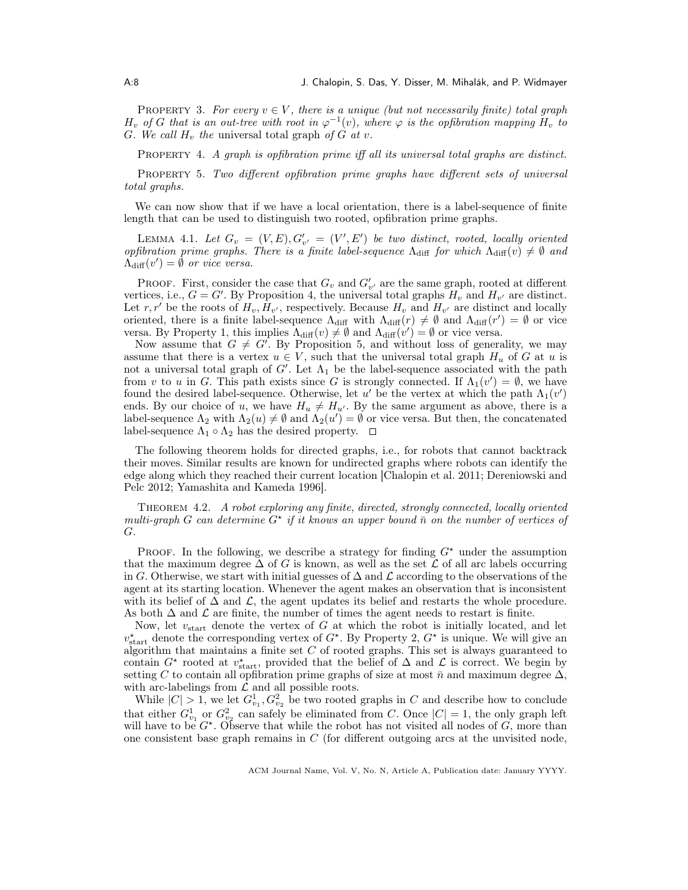PROPERTY 3. For every  $v \in V$ , there is a unique (but not necessarily finite) total graph  $H_v$  of G that is an out-tree with root in  $\varphi^{-1}(v)$ , where  $\varphi$  is the opfibration mapping  $H_v$  to G. We call  $H_v$  the universal total graph of G at v.

PROPERTY 4. A graph is opfibration prime iff all its universal total graphs are distinct.

Property 5. Two different opfibration prime graphs have different sets of universal total graphs.

We can now show that if we have a local orientation, there is a label-sequence of finite length that can be used to distinguish two rooted, opfibration prime graphs.

LEMMA 4.1. Let  $G_v = (V, E), G'_{v'} = (V', E')$  be two distinct, rooted, locally oriented opfibration prime graphs. There is a finite label-sequence  $\Lambda_{\text{diff}}$  for which  $\Lambda_{\text{diff}}(v) \neq \emptyset$  and  $\Lambda_{\text{diff}}(v') = \emptyset$  or vice versa.

PROOF. First, consider the case that  $G_v$  and  $G'_{v'}$  are the same graph, rooted at different vertices, i.e.,  $G = G'$ . By Proposition 4, the universal total graphs  $H_v$  and  $H_{v'}$  are distinct. Let r, r' be the roots of  $H_v$ ,  $\bar{H}_{v'}$ , respectively. Because  $H_v$  and  $H_{v'}$  are distinct and locally oriented, there is a finite label-sequence  $\Lambda_{\text{diff}}$  with  $\Lambda_{\text{diff}}(r) \neq \emptyset$  and  $\Lambda_{\text{diff}}(r') = \emptyset$  or vice versa. By Property 1, this implies  $\Lambda_{\text{diff}}(v) \neq \emptyset$  and  $\Lambda_{\text{diff}}(v') = \emptyset$  or vice versa.

Now assume that  $G \neq G'$ . By Proposition 5, and without loss of generality, we may assume that there is a vertex  $u \in V$ , such that the universal total graph  $H_u$  of G at u is not a universal total graph of  $G'$ . Let  $\Lambda_1$  be the label-sequence associated with the path from v to u in G. This path exists since G is strongly connected. If  $\Lambda_1(v') = \emptyset$ , we have found the desired label-sequence. Otherwise, let u' be the vertex at which the path  $\Lambda_1(v')$ ends. By our choice of u, we have  $H_u \neq H_{u'}$ . By the same argument as above, there is a label-sequence  $\Lambda_2$  with  $\Lambda_2(u) \neq \emptyset$  and  $\Lambda_2(u') = \emptyset$  or vice versa. But then, the concatenated label-sequence  $\Lambda_1 \circ \Lambda_2$  has the desired property.  $\square$ 

The following theorem holds for directed graphs, i.e., for robots that cannot backtrack their moves. Similar results are known for undirected graphs where robots can identify the edge along which they reached their current location [Chalopin et al. 2011; Dereniowski and Pelc 2012; Yamashita and Kameda 1996].

Theorem 4.2. A robot exploring any finite, directed, strongly connected, locally oriented multi-graph G can determine  $G^*$  if it knows an upper bound  $\bar{n}$  on the number of vertices of G.

PROOF. In the following, we describe a strategy for finding  $G^*$  under the assumption that the maximum degree  $\Delta$  of G is known, as well as the set  $\mathcal L$  of all arc labels occurring in G. Otherwise, we start with initial guesses of  $\Delta$  and  $\mathcal L$  according to the observations of the agent at its starting location. Whenever the agent makes an observation that is inconsistent with its belief of  $\Delta$  and  $\mathcal{L}$ , the agent updates its belief and restarts the whole procedure. As both  $\Delta$  and  $\mathcal L$  are finite, the number of times the agent needs to restart is finite.

Now, let  $v_{\text{start}}$  denote the vertex of G at which the robot is initially located, and let  $v_{\text{start}}^{\star}$  denote the corresponding vertex of  $G^{\star}$ . By Property 2,  $G^{\star}$  is unique. We will give an algorithm that maintains a finite set  $C$  of rooted graphs. This set is always guaranteed to contain  $G^*$  rooted at  $v_{\text{start}}^*$ , provided that the belief of  $\Delta$  and  $\mathcal L$  is correct. We begin by setting C to contain all opfibration prime graphs of size at most  $\bar{n}$  and maximum degree  $\Delta$ , with arc-labelings from  $\mathcal L$  and all possible roots.

While  $|C| > 1$ , we let  $G_{v_1}^1, G_{v_2}^2$  be two rooted graphs in C and describe how to conclude that either  $G_{v_1}^1$  or  $G_{v_2}^2$  can safely be eliminated from C. Once  $|C| = 1$ , the only graph left will have to be  $G^*$ . Observe that while the robot has not visited all nodes of  $G$ , more than one consistent base graph remains in  $C$  (for different outgoing arcs at the unvisited node,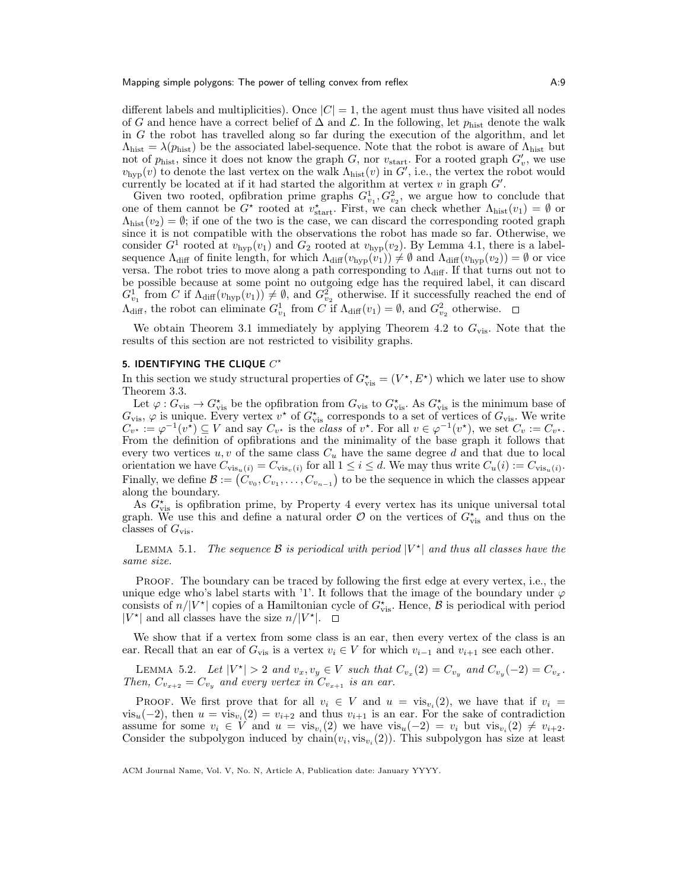different labels and multiplicities). Once  $|C| = 1$ , the agent must thus have visited all nodes of G and hence have a correct belief of  $\Delta$  and  $\mathcal{L}$ . In the following, let  $p_{\text{hist}}$  denote the walk in  $G$  the robot has travelled along so far during the execution of the algorithm, and let  $\Lambda_{\text{hist}} = \lambda(p_{\text{hist}})$  be the associated label-sequence. Note that the robot is aware of  $\Lambda_{\text{hist}}$  but not of  $p_{\text{hist}}$ , since it does not know the graph G, nor  $v_{\text{start}}$ . For a rooted graph  $G'_{v}$ , we use  $v_{\text{hyp}}(v)$  to denote the last vertex on the walk  $\Lambda_{\text{hist}}(v)$  in  $G'$ , i.e., the vertex the robot would currently be located at if it had started the algorithm at vertex  $v$  in graph  $G'$ .

Given two rooted, opfibration prime graphs  $G_{v_1}^1, G_{v_2}^2$ , we argue how to conclude that one of them cannot be  $G^*$  rooted at  $v_{\text{start}}^*$ . First, we can check whether  $\Lambda_{\text{hist}}(v_1) = \emptyset$  or  $\Lambda_{\text{hist}}(v_2) = \emptyset$ ; if one of the two is the case, we can discard the corresponding rooted graph since it is not compatible with the observations the robot has made so far. Otherwise, we consider  $G^1$  rooted at  $v_{\text{hyp}}(v_1)$  and  $G_2$  rooted at  $v_{\text{hyp}}(v_2)$ . By Lemma 4.1, there is a labelsequence  $\Lambda_{\text{diff}}$  of finite length, for which  $\Lambda_{\text{diff}}(v_{\text{hyp}}(v_1)) \neq \emptyset$  and  $\Lambda_{\text{diff}}(v_{\text{hyp}}(v_2)) = \emptyset$  or vice versa. The robot tries to move along a path corresponding to  $\Lambda_{\text{diff}}$ . If that turns out not to be possible because at some point no outgoing edge has the required label, it can discard  $G_{v_1}^1$  from C if  $\Lambda_{\text{diff}}(v_{\text{hyp}}(v_1)) \neq \emptyset$ , and  $G_{v_2}^2$  otherwise. If it successfully reached the end of  $\Lambda_{\text{diff}}$ , the robot can eliminate  $G_{v_1}^1$  from C if  $\Lambda_{\text{diff}}(v_1) = \emptyset$ , and  $G_{v_2}^2$  otherwise.

We obtain Theorem 3.1 immediately by applying Theorem 4.2 to  $G_{\text{vis}}$ . Note that the results of this section are not restricted to visibility graphs.

# 5. IDENTIFYING THE CLIQUE  $C^{\star}$

In this section we study structural properties of  $G_{\text{vis}}^* = (V^*, E^*)$  which we later use to show Theorem 3.3.

Let  $\varphi: G_{\text{vis}} \to G_{\text{vis}}^*$  be the opfibration from  $G_{\text{vis}}$  to  $G_{\text{vis}}^*$ . As  $G_{\text{vis}}^*$  is the minimum base of  $G_{\text{vis}}$ ,  $\varphi$  is unique. Every vertex  $v^*$  of  $G_{\text{vis}}^*$  corresponds to a set of vertices of  $G_{\text{vis}}$ . We write  $C_{v^*} := \varphi^{-1}(v^*) \subseteq V$  and say  $C_{v^*}$  is the class of  $v^*$ . For all  $v \in \varphi^{-1}(v^*)$ , we set  $C_v := C_{v^*}$ . From the definition of opfibrations and the minimality of the base graph it follows that every two vertices  $u, v$  of the same class  $C_u$  have the same degree d and that due to local orientation we have  $C_{\text{vis}_u(i)} = C_{\text{vis}_v(i)}$  for all  $1 \leq i \leq d$ . We may thus write  $C_u(i) := C_{\text{vis}_u(i)}$ . Finally, we define  $\mathcal{B} := (C_{v_0}, C_{v_1}, \ldots, C_{v_{n-1}})$  to be the sequence in which the classes appear along the boundary.

As  $G_{\text{vis}}^{\star}$  is opfibration prime, by Property 4 every vertex has its unique universal total graph. We use this and define a natural order  $\mathcal O$  on the vertices of  $G_{\text{vis}}^*$  and thus on the classes of  $G_{\text{vis}}$ .

LEMMA 5.1. The sequence B is periodical with period  $|V^{\star}|$  and thus all classes have the same size.

PROOF. The boundary can be traced by following the first edge at every vertex, i.e., the unique edge who's label starts with '1'. It follows that the image of the boundary under  $\varphi$ consists of  $n/|V^*|$  copies of a Hamiltonian cycle of  $G_{\text{vis}}^*$ . Hence,  $\beta$  is periodical with period  $|V^*|$  and all classes have the size  $n/|V^*|$ .

We show that if a vertex from some class is an ear, then every vertex of the class is an ear. Recall that an ear of  $G_{\text{vis}}$  is a vertex  $v_i \in V$  for which  $v_{i-1}$  and  $v_{i+1}$  see each other.

LEMMA 5.2. Let  $|V^*| > 2$  and  $v_x, v_y \in V$  such that  $C_{v_x}(2) = C_{v_y}$  and  $C_{v_y}(-2) = C_{v_x}$ . Then,  $C_{v_{x+2}} = C_{v_y}$  and every vertex in  $C_{v_{x+1}}$  is an ear.

PROOF. We first prove that for all  $v_i \in V$  and  $u = \text{vis}_{v_i}(2)$ , we have that if  $v_i =$  $vis_u(-2)$ , then  $u = vis_{v_i}(2) = v_{i+2}$  and thus  $v_{i+1}$  is an ear. For the sake of contradiction assume for some  $v_i \in V$  and  $u = \text{vis}_{v_i}(2)$  we have  $\text{vis}_u(-2) = v_i$  but  $\text{vis}_{v_i}(2) \neq v_{i+2}$ . Consider the subpolygon induced by  $chain(v_i, vis_{v_i}(2))$ . This subpolygon has size at least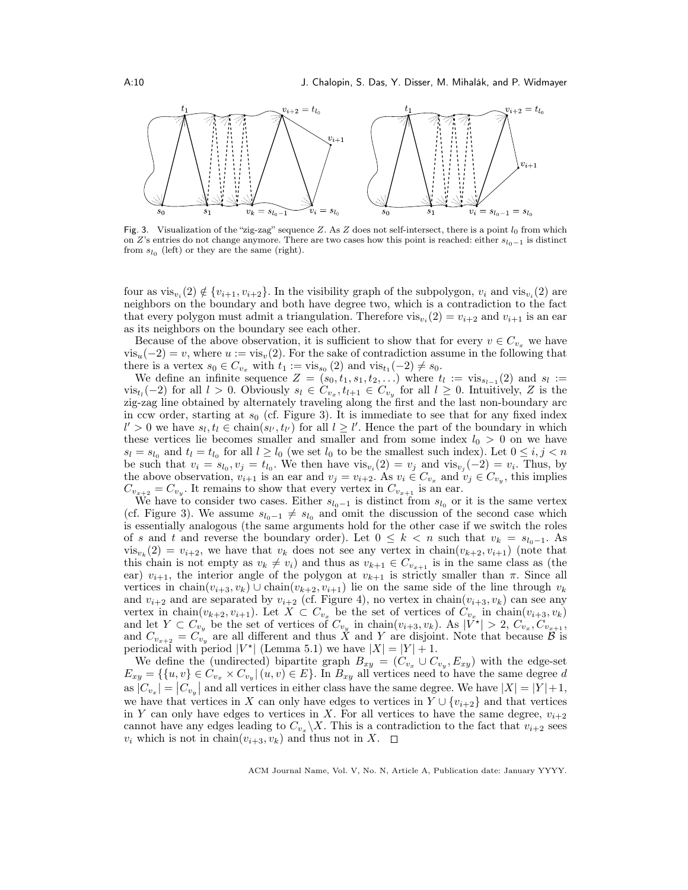

Fig. 3. Visualization of the "zig-zag" sequence Z. As Z does not self-intersect, there is a point  $l_0$  from which on Z's entries do not change anymore. There are two cases how this point is reached: either  $s_{l_0-1}$  is distinct from  $s_{l_0}$  (left) or they are the same (right).

four as  $vis_{v_i}(2) \notin \{v_{i+1}, v_{i+2}\}\.$  In the visibility graph of the subpolygon,  $v_i$  and  $vis_{v_i}(2)$  are neighbors on the boundary and both have degree two, which is a contradiction to the fact that every polygon must admit a triangulation. Therefore  $vis_{v_i}(2) = v_{i+2}$  and  $v_{i+1}$  is an ear as its neighbors on the boundary see each other.

Because of the above observation, it is sufficient to show that for every  $v \in C_{v_x}$  we have  $vis_u(-2) = v$ , where  $u := vis_v(2)$ . For the sake of contradiction assume in the following that there is a vertex  $s_0 \in C_{v_x}$  with  $t_1 := \text{vis}_{s_0}(2)$  and  $\text{vis}_{t_1}(-2) \neq s_0$ .

We define an infinite sequence  $Z = (s_0, t_1, s_1, t_2, \ldots)$  where  $t_l := \text{vis}_{s_{l-1}}(2)$  and  $s_l :=$ vis<sub>t</sub><sub>i</sub>(-2) for all  $l > 0$ . Obviously  $s_l \in C_{v_x}, t_{l+1} \in C_{v_y}$  for all  $l \geq 0$ . Intuitively, Z is the zig-zag line obtained by alternately traveling along the first and the last non-boundary arc in ccw order, starting at  $s_0$  (cf. Figure 3). It is immediate to see that for any fixed index  $l' > 0$  we have  $s_l, t_l \in \text{chain}(s_{l'}, t_{l'})$  for all  $l \geq l'$ . Hence the part of the boundary in which these vertices lie becomes smaller and smaller and from some index  $l_0 > 0$  on we have  $s_l = s_{l_0}$  and  $t_l = t_{l_0}$  for all  $l \geq l_0$  (we set  $l_0$  to be the smallest such index). Let  $0 \leq i, j < n$ be such that  $v_i = s_{l_0}, v_j = t_{l_0}$ . We then have  $vis_{v_i}(2) = v_j$  and  $vis_{v_j}(-2) = v_i$ . Thus, by the above observation,  $v_{i+1}$  is an ear and  $v_j = v_{i+2}$ . As  $v_i \in C_{v_x}$  and  $v_j \in C_{v_y}$ , this implies  $C_{v_{x+2}} = C_{v_y}$ . It remains to show that every vertex in  $C_{v_{x+1}}$  is an ear.

We have to consider two cases. Either  $s_{l_0-1}$  is distinct from  $s_{l_0}$  or it is the same vertex (cf. Figure 3). We assume  $s_{l_0-1} \neq s_{l_0}$  and omit the discussion of the second case which is essentially analogous (the same arguments hold for the other case if we switch the roles of s and t and reverse the boundary order). Let  $0 \leq k \leq n$  such that  $v_k = s_{l_0-1}$ . As  $vis_{v_k}(2) = v_{i+2}$ , we have that  $v_k$  does not see any vertex in chain $(v_{k+2}, v_{i+1})$  (note that this chain is not empty as  $v_k \neq v_i$ ) and thus as  $v_{k+1} \in C_{v_{x+1}}$  is in the same class as (the ear)  $v_{i+1}$ , the interior angle of the polygon at  $v_{k+1}$  is strictly smaller than  $\pi$ . Since all vertices in chain $(v_{i+3}, v_k)$  ∪ chain $(v_{k+2}, v_{i+1})$  lie on the same side of the line through  $v_k$ and  $v_{i+2}$  and are separated by  $v_{i+2}$  (cf. Figure 4), no vertex in chain $(v_{i+3}, v_k)$  can see any vertex in chain $(v_{k+2}, v_{i+1})$ . Let  $X \subset C_{v_x}$  be the set of vertices of  $C_{v_x}$  in chain $(v_{i+3}, v_k)$ and let  $Y \subset C_{v_y}$  be the set of vertices of  $C_{v_y}$  in chain $(v_{i+3}, v_k)$ . As  $|\tilde{V}^*| > 2$ ,  $C_{v_x}, C_{v_{x+1}},$ and  $C_{v_{x+2}} = C_{v_y}$  are all different and thus  $\hat{X}$  and  $Y$  are disjoint. Note that because  $\hat{B}$  is periodical with period  $|V^*|$  (Lemma 5.1) we have  $|X| = |Y| + 1$ .

We define the (undirected) bipartite graph  $B_{xy} = (C_{v_x} \cup C_{v_y}, E_{xy})$  with the edge-set  $E_{xy} = \{ \{u, v\} \in C_{v_x} \times C_{v_y} | (u, v) \in E \}.$  In  $B_{xy}$  all vertices need to have the same degree d as  $|C_{v_x}| = |C_{v_y}|$  and all vertices in either class have the same degree. We have  $|X| = |Y| + 1$ , we have that vertices in X can only have edges to vertices in  $Y \cup \{v_{i+2}\}\$  and that vertices in Y can only have edges to vertices in X. For all vertices to have the same degree,  $v_{i+2}$ cannot have any edges leading to  $C_{v_x} \backslash X$ . This is a contradiction to the fact that  $v_{i+2}$  sees  $v_i$  which is not in chain $(v_{i+3}, v_k)$  and thus not in X.  $\Box$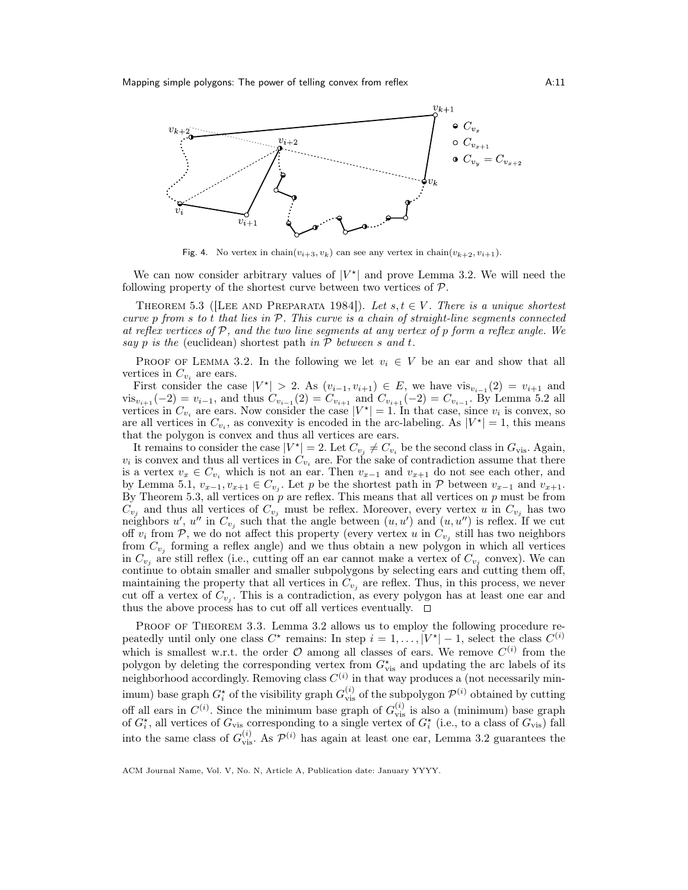

Fig. 4. No vertex in chain $(v_{i+3}, v_k)$  can see any vertex in chain $(v_{k+2}, v_{i+1})$ .

We can now consider arbitrary values of  $|V^*|$  and prove Lemma 3.2. We will need the following property of the shortest curve between two vertices of  $P$ .

THEOREM 5.3 ([LEE AND PREPARATA 1984]). Let  $s, t \in V$ . There is a unique shortest curve  $p$  from  $s$  to  $t$  that lies in  $P$ . This curve is a chain of straight-line segments connected at reflex vertices of  $P$ , and the two line segments at any vertex of p form a reflex angle. We say  $p$  is the (euclidean) shortest path in  $P$  between  $s$  and  $t$ .

PROOF OF LEMMA 3.2. In the following we let  $v_i \in V$  be an ear and show that all vertices in  $C_{v_i}$  are ears.

First consider the case  $|V^*| > 2$ . As  $(v_{i-1}, v_{i+1}) \in E$ , we have  $\text{vis}_{v_{i-1}}(2) = v_{i+1}$  and  $vis_{v_{i+1}}(-2) = v_{i-1}$ , and thus  $C_{v_{i-1}}(2) = C_{v_{i+1}}$  and  $C_{v_{i+1}}(-2) = C_{v_{i-1}}$ . By Lemma 5.2 all vertices in  $C_{v_i}$  are ears. Now consider the case  $|V^*| = 1$ . In that case, since  $v_i$  is convex, so are all vertices in  $C_{v_i}$ , as convexity is encoded in the arc-labeling. As  $|V^*| = 1$ , this means that the polygon is convex and thus all vertices are ears.

It remains to consider the case  $|V^*| = 2$ . Let  $C_{v_j} \neq C_{v_i}$  be the second class in  $G_{\text{vis}}$ . Again,  $v_i$  is convex and thus all vertices in  $C_{v_i}$  are. For the sake of contradiction assume that there is a vertex  $v_x \in C_{v_i}$  which is not an ear. Then  $v_{x-1}$  and  $v_{x+1}$  do not see each other, and by Lemma 5.1,  $v_{x-1}, v_{x+1} \in C_{v_j}$ . Let p be the shortest path in P between  $v_{x-1}$  and  $v_{x+1}$ . By Theorem 5.3, all vertices on  $p$  are reflex. This means that all vertices on  $p$  must be from  $C_{v_j}$  and thus all vertices of  $C_{v_j}$  must be reflex. Moreover, every vertex u in  $C_{v_j}$  has two neighbors u', u'' in  $C_{v_j}$  such that the angle between  $(u, u')$  and  $(u, u'')$  is reflex. If we cut off  $v_i$  from  $P$ , we do not affect this property (every vertex u in  $C_{v_j}$  still has two neighbors from  $C_{v_j}$  forming a reflex angle) and we thus obtain a new polygon in which all vertices in  $C_{v_j}$  are still reflex (i.e., cutting off an ear cannot make a vertex of  $C_{v_j}$  convex). We can continue to obtain smaller and smaller subpolygons by selecting ears and cutting them off, maintaining the property that all vertices in  $C_{v_j}$  are reflex. Thus, in this process, we never cut off a vertex of  $C_{v_j}$ . This is a contradiction, as every polygon has at least one ear and thus the above process has to cut off all vertices eventually.  $\Box$ 

PROOF OF THEOREM 3.3. Lemma 3.2 allows us to employ the following procedure repeatedly until only one class  $C^*$  remains: In step  $i = 1, \ldots, |V^*| - 1$ , select the class  $C^{(i)}$ which is smallest w.r.t. the order  $\mathcal O$  among all classes of ears. We remove  $C^{(i)}$  from the polygon by deleting the corresponding vertex from  $G^{\star}_{\text{vis}}$  and updating the arc labels of its neighborhood accordingly. Removing class  $C^{(i)}$  in that way produces a (not necessarily minimum) base graph  $G_i^*$  of the visibility graph  $G_{\text{vis}}^{(i)}$  of the subpolygon  $\mathcal{P}^{(i)}$  obtained by cutting off all ears in  $C^{(i)}$ . Since the minimum base graph of  $G_{\text{vis}}^{(i)}$  is also a (minimum) base graph of  $G_i^*$ , all vertices of  $G_{\text{vis}}$  corresponding to a single vertex of  $G_i^*$  (i.e., to a class of  $G_{\text{vis}}$ ) fall into the same class of  $G_{\text{vis}}^{(i)}$ . As  $\mathcal{P}^{(i)}$  has again at least one ear, Lemma 3.2 guarantees the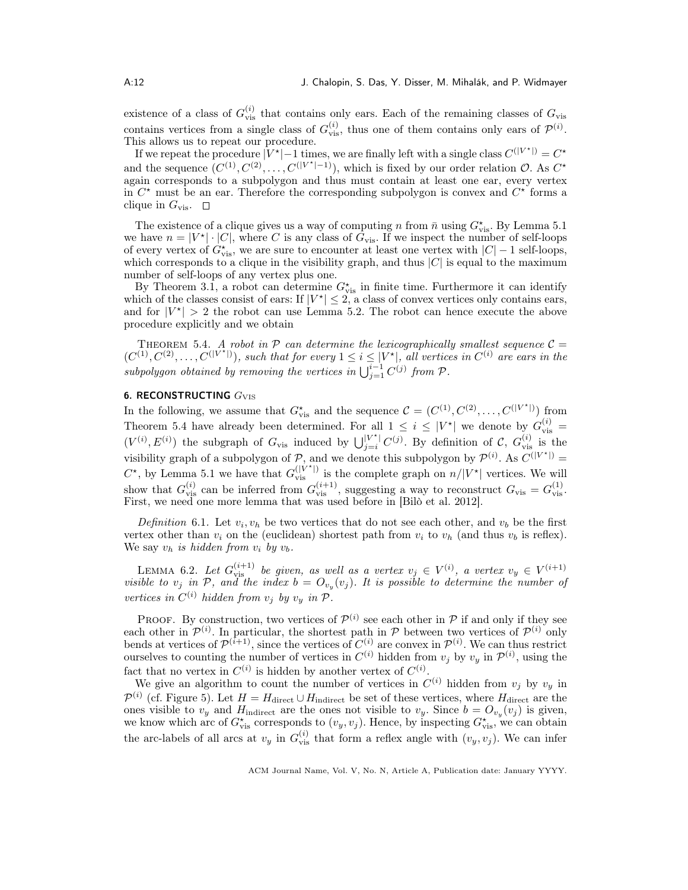existence of a class of  $G_{\text{vis}}^{(i)}$  that contains only ears. Each of the remaining classes of  $G_{\text{vis}}$ contains vertices from a single class of  $G_{\text{vis}}^{(i)}$ , thus one of them contains only ears of  $\mathcal{P}^{(i)}$ . This allows us to repeat our procedure.

If we repeat the procedure  $|V^*| - 1$  times, we are finally left with a single class  $C^{|V^*|} = C^*$ and the sequence  $(C^{(1)}, C^{(2)}, \ldots, C^{(|V^*|-1)})$ , which is fixed by our order relation  $\mathcal{O}$ . As  $C^*$ again corresponds to a subpolygon and thus must contain at least one ear, every vertex in  $C^*$  must be an ear. Therefore the corresponding subpolygon is convex and  $C^*$  forms a clique in  $G_{\text{vis}}$ .  $\Box$ 

The existence of a clique gives us a way of computing n from  $\bar{n}$  using  $G^{\star}_{\text{vis}}$ . By Lemma 5.1 we have  $n = |V^*| \cdot |C|$ , where C is any class of  $G_{\text{vis}}$ . If we inspect the number of self-loops of every vertex of  $G_{\text{vis}}^*$ , we are sure to encounter at least one vertex with  $|C| - 1$  self-loops, which corresponds to a clique in the visibility graph, and thus  $|C|$  is equal to the maximum number of self-loops of any vertex plus one.

By Theorem 3.1, a robot can determine  $G_{\text{vis}}^{\star}$  in finite time. Furthermore it can identify which of the classes consist of ears: If  $|V^*| \leq 2$ , a class of convex vertices only contains ears, and for  $|V^*| > 2$  the robot can use Lemma 5.2. The robot can hence execute the above procedure explicitly and we obtain

THEOREM 5.4. A robot in  $P$  can determine the lexicographically smallest sequence  $C =$  $(C^{(1)}, C^{(2)}, \ldots, C^{(|V^*|)}),$  such that for every  $1 \leq i \leq |V^*|,$  all vertices in  $C^{(i)}$  are ears in the subpolygon obtained by removing the vertices in  $\bigcup_{j=1}^{i-1} C^{(j)}$  from  $\mathcal{P}$ .

# 6. RECONSTRUCTING  $G_{\rm VIS}$

In the following, we assume that  $G_{\text{vis}}^{\star}$  and the sequence  $\mathcal{C} = (C^{(1)}, C^{(2)}, \ldots, C^{(|V^*|)})$  from Theorem 5.4 have already been determined. For all  $1 \leq i \leq |V^*|$  we denote by  $G_{\text{vis}}^{(i)} =$  $(V^{(i)}, E^{(i)})$  the subgraph of  $G_{\text{vis}}$  induced by  $\bigcup_{j=i}^{|V^*|} C^{(j)}$ . By definition of C,  $G_{\text{vis}}^{(i)}$  is the visibility graph of a subpolygon of  $P$ , and we denote this subpolygon by  $P^{(i)}$ . As  $C^{(|V^*|)} =$  $C^{\star}$ , by Lemma 5.1 we have that  $G_{\text{vis}}^{(|V^{\star}|)}$  is the complete graph on  $n/|V^{\star}|$  vertices. We will show that  $G_{\text{vis}}^{(i)}$  can be inferred from  $G_{\text{vis}}^{(i+1)}$ , suggesting a way to reconstruct  $G_{\text{vis}} = G_{\text{vis}}^{(1)}$ . First, we need one more lemma that was used before in [Bilò et al. 2012].

Definition 6.1. Let  $v_i, v_h$  be two vertices that do not see each other, and  $v_b$  be the first vertex other than  $v_i$  on the (euclidean) shortest path from  $v_i$  to  $v_h$  (and thus  $v_b$  is reflex). We say  $v_h$  is hidden from  $v_i$  by  $v_b$ .

LEMMA 6.2. Let  $G_{\text{vis}}^{(i+1)}$  be given, as well as a vertex  $v_j \in V^{(i)}$ , a vertex  $v_y \in V^{(i+1)}$ visible to  $v_j$  in  $P$ , and the index  $b = O_{v_y}(v_j)$ . It is possible to determine the number of vertices in  $C^{(i)}$  hidden from  $v_j$  by  $v_y$  in  $\mathcal{P}$ .

**PROOF.** By construction, two vertices of  $\mathcal{P}^{(i)}$  see each other in  $\mathcal{P}$  if and only if they see each other in  $\mathcal{P}^{(i)}$ . In particular, the shortest path in P between two vertices of  $\mathcal{P}^{(i)}$  only bends at vertices of  $\mathcal{P}^{(i+1)}$ , since the vertices of  $C^{(i)}$  are convex in  $\mathcal{P}^{(i)}$ . We can thus restrict ourselves to counting the number of vertices in  $C^{(i)}$  hidden from  $v_j$  by  $v_y$  in  $\mathcal{P}^{(i)}$ , using the fact that no vertex in  $C^{(i)}$  is hidden by another vertex of  $C^{(i)}$ .

We give an algorithm to count the number of vertices in  $C^{(i)}$  hidden from  $v_j$  by  $v_y$  in  $\mathcal{P}^{(i)}$  (cf. Figure 5). Let  $H = H_{\text{direct}} \cup H_{\text{indirect}}$  be set of these vertices, where  $H_{\text{direct}}$  are the ones visible to  $v_y$  and  $H_{\text{indirect}}$  are the ones not visible to  $v_y$ . Since  $b = O_{v_y}(v_j)$  is given, we know which arc of  $G_{\text{vis}}^{\star}$  corresponds to  $(v_y, v_j)$ . Hence, by inspecting  $G_{\text{vis}}^{\star}$ , we can obtain the arc-labels of all arcs at  $v_y$  in  $G_{\text{vis}}^{(i)}$  that form a reflex angle with  $(v_y, v_j)$ . We can infer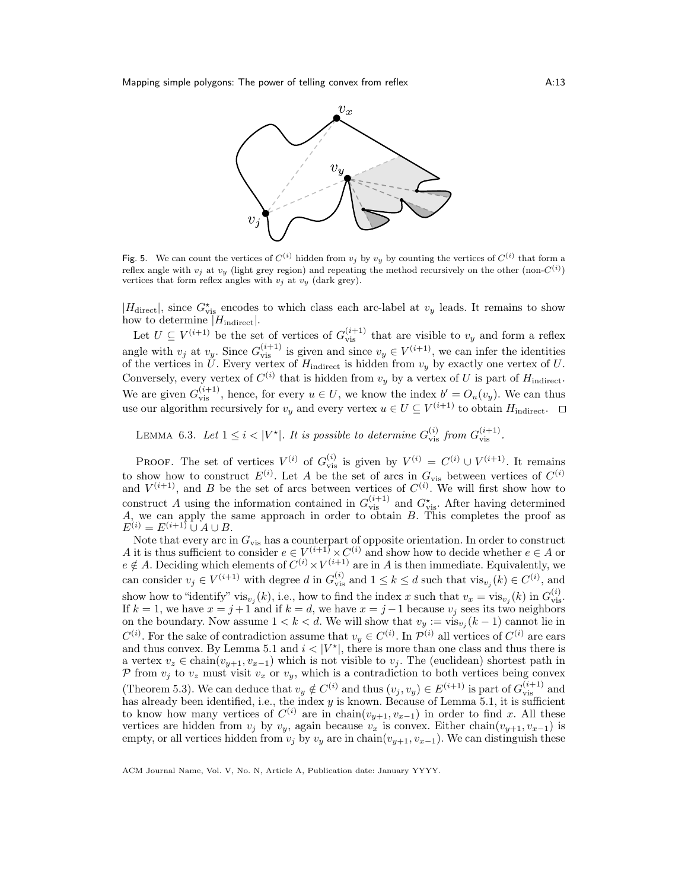

Fig. 5. We can count the vertices of  $C^{(i)}$  hidden from  $v_j$  by  $v_y$  by counting the vertices of  $C^{(i)}$  that form a reflex angle with  $v_j$  at  $v_y$  (light grey region) and repeating the method recursively on the other (non- $C^{(i)}$ ) vertices that form reflex angles with  $v_j$  at  $v_y$  (dark grey).

 $|H_{\text{direct}}|$ , since  $G^{\star}_{\text{vis}}$  encodes to which class each arc-label at  $v_y$  leads. It remains to show how to determine  $|H_{indirect}|$ .

Let  $U \subseteq V^{(i+1)}$  be the set of vertices of  $G_{\text{vis}}^{(i+1)}$  that are visible to  $v_y$  and form a reflex angle with  $v_j$  at  $v_y$ . Since  $G_{\text{vis}}^{(i+1)}$  is given and since  $v_y \in V^{(i+1)}$ , we can infer the identities of the vertices in U. Every vertex of  $H_{\text{indirect}}$  is hidden from  $v_y$  by exactly one vertex of U. Conversely, every vertex of  $C^{(i)}$  that is hidden from  $v_y$  by a vertex of U is part of  $H_{\text{indirect}}$ . We are given  $G_{\text{vis}}^{(i+1)}$ , hence, for every  $u \in U$ , we know the index  $b' = O_u(v_y)$ . We can thus use our algorithm recursively for  $v_y$  and every vertex  $u \in U \subseteq V^{(i+1)}$  to obtain  $H_{indirect}$ .

LEMMA 6.3. Let  $1 \leq i < |V^*|$ . It is possible to determine  $G_{\text{vis}}^{(i)}$  from  $G_{\text{vis}}^{(i+1)}$ .

PROOF. The set of vertices  $V^{(i)}$  of  $G_{\text{vis}}^{(i)}$  is given by  $V^{(i)} = C^{(i)} \cup V^{(i+1)}$ . It remains to show how to construct  $E^{(i)}$ . Let A be the set of arcs in  $G_{\text{vis}}$  between vertices of  $C^{(i)}$ and  $V^{(i+1)}$ , and B be the set of arcs between vertices of  $C^{(i)}$ . We will first show how to construct A using the information contained in  $G_{\text{vis}}^{(i+1)}$  and  $G_{\text{vis}}^{\star}$ . After having determined A, we can apply the same approach in order to obtain B. This completes the proof as  $E^{(i)} = E^{(i+1)} \cup A \cup B.$ 

Note that every arc in  $G_{\text{vis}}$  has a counterpart of opposite orientation. In order to construct A it is thus sufficient to consider  $e \in V^{(i+1)} \times C^{(i)}$  and show how to decide whether  $e \in A$  or  $e \notin A$ . Deciding which elements of  $C^{(i)} \times V^{(i+1)}$  are in A is then immediate. Equivalently, we can consider  $v_j \in V^{(i+1)}$  with degree d in  $G_{\text{vis}}^{(i)}$  and  $1 \leq k \leq d$  such that  $\text{vis}_{v_j}(k) \in C^{(i)}$ , and show how to "identify" vis $v_j(k)$ , i.e., how to find the index x such that  $v_x = \text{vis}_{v_j}(k)$  in  $G_{\text{vis}}^{(i)}$ . If  $k = 1$ , we have  $x = j + 1$  and if  $k = d$ , we have  $x = j - 1$  because  $v_j$  sees its two neighbors on the boundary. Now assume  $1 < k < d$ . We will show that  $v_y := \text{vis}_{v_j}(k-1)$  cannot lie in  $C^{(i)}$ . For the sake of contradiction assume that  $v_y \in C^{(i)}$ . In  $\mathcal{P}^{(i)}$  all vertices of  $C^{(i)}$  are ears and thus convex. By Lemma 5.1 and  $i < |V^*|$ , there is more than one class and thus there is a vertex  $v_z \in \text{chain}(v_{y+1}, v_{x-1})$  which is not visible to  $v_j$ . The (euclidean) shortest path in P from  $v_j$  to  $v_z$  must visit  $v_x$  or  $v_y$ , which is a contradiction to both vertices being convex (Theorem 5.3). We can deduce that  $v_y \notin C^{(i)}$  and thus  $(v_j, v_y) \in E^{(i+1)}$  is part of  $G_{\text{vis}}^{(i+1)}$  and has already been identified, i.e., the index  $y$  is known. Because of Lemma 5.1, it is sufficient to know how many vertices of  $C^{(i)}$  are in chain $(v_{y+1}, v_{x-1})$  in order to find x. All these vertices are hidden from  $v_j$  by  $v_y$ , again because  $v_x$  is convex. Either chain $(v_{y+1}, v_{x-1})$  is empty, or all vertices hidden from  $v_j$  by  $v_y$  are in chain $(v_{y+1}, v_{x-1})$ . We can distinguish these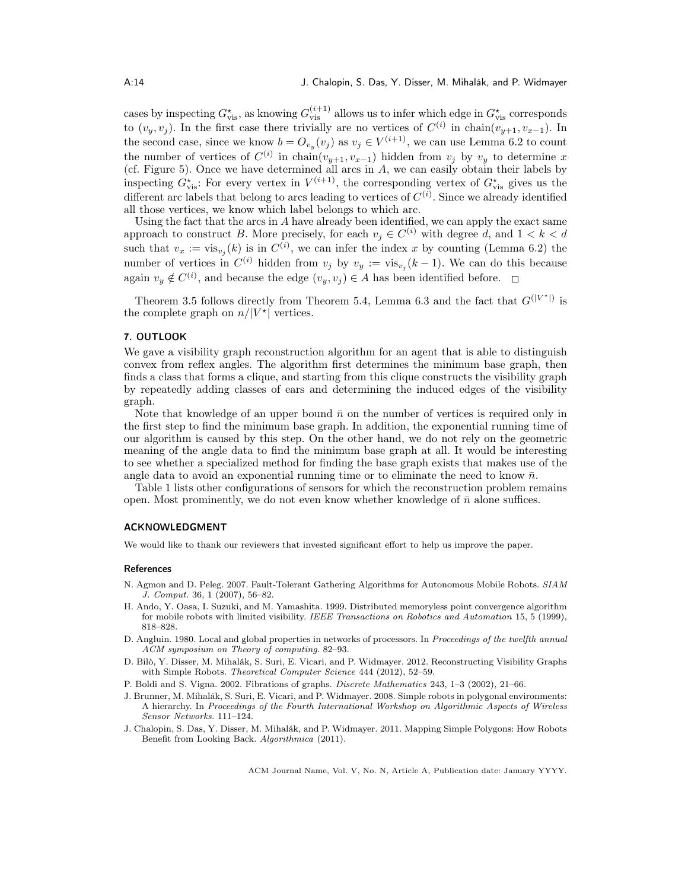cases by inspecting  $G_{\text{vis}}^{\star}$ , as knowing  $G_{\text{vis}}^{(i+1)}$  allows us to infer which edge in  $G_{\text{vis}}^{\star}$  corresponds to  $(v_y, v_j)$ . In the first case there trivially are no vertices of  $C^{(i)}$  in chain $(v_{y+1}, v_{x-1})$ . In the second case, since we know  $b = O_{v_y}(v_j)$  as  $v_j \in V^{(i+1)}$ , we can use Lemma 6.2 to count the number of vertices of  $C^{(i)}$  in chain $(v_{y+1}, v_{x-1})$  hidden from  $v_j$  by  $v_y$  to determine x (cf. Figure 5). Once we have determined all arcs in  $A$ , we can easily obtain their labels by inspecting  $G_{\text{vis}}^*$ : For every vertex in  $V^{(i+1)}$ , the corresponding vertex of  $G_{\text{vis}}^*$  gives us the different arc labels that belong to arcs leading to vertices of  $C^{(i)}$ . Since we already identified all those vertices, we know which label belongs to which arc.

Using the fact that the arcs in  $A$  have already been identified, we can apply the exact same approach to construct B. More precisely, for each  $v_j \in C^{(i)}$  with degree d, and  $1 < k < d$ such that  $v_x := \text{vis}_{v_j}(k)$  is in  $C^{(i)}$ , we can infer the index x by counting (Lemma 6.2) the number of vertices in  $C^{(i)}$  hidden from  $v_j$  by  $v_y := \text{vis}_{v_j}(k-1)$ . We can do this because again  $v_y \notin C^{(i)}$ , and because the edge  $(v_y, v_j) \in A$  has been identified before.

Theorem 3.5 follows directly from Theorem 5.4, Lemma 6.3 and the fact that  $G^{(|V^*|)}$  is the complete graph on  $n/|V^*|$  vertices.

### 7. OUTLOOK

We gave a visibility graph reconstruction algorithm for an agent that is able to distinguish convex from reflex angles. The algorithm first determines the minimum base graph, then finds a class that forms a clique, and starting from this clique constructs the visibility graph by repeatedly adding classes of ears and determining the induced edges of the visibility graph.

Note that knowledge of an upper bound  $\bar{n}$  on the number of vertices is required only in the first step to find the minimum base graph. In addition, the exponential running time of our algorithm is caused by this step. On the other hand, we do not rely on the geometric meaning of the angle data to find the minimum base graph at all. It would be interesting to see whether a specialized method for finding the base graph exists that makes use of the angle data to avoid an exponential running time or to eliminate the need to know  $\bar{n}$ .

Table 1 lists other configurations of sensors for which the reconstruction problem remains open. Most prominently, we do not even know whether knowledge of  $\bar{n}$  alone suffices.

#### ACKNOWLEDGMENT

We would like to thank our reviewers that invested significant effort to help us improve the paper.

#### **References**

- N. Agmon and D. Peleg. 2007. Fault-Tolerant Gathering Algorithms for Autonomous Mobile Robots. SIAM J. Comput. 36, 1 (2007), 56–82.
- H. Ando, Y. Oasa, I. Suzuki, and M. Yamashita. 1999. Distributed memoryless point convergence algorithm for mobile robots with limited visibility. IEEE Transactions on Robotics and Automation 15, 5 (1999), 818–828.
- D. Angluin. 1980. Local and global properties in networks of processors. In Proceedings of the twelfth annual ACM symposium on Theory of computing. 82–93.
- D. Bilò, Y. Disser, M. Mihalák, S. Suri, E. Vicari, and P. Widmayer. 2012. Reconstructing Visibility Graphs with Simple Robots. Theoretical Computer Science 444 (2012), 52–59.
- P. Boldi and S. Vigna. 2002. Fibrations of graphs. Discrete Mathematics 243, 1–3 (2002), 21–66.
- J. Brunner, M. Mihalák, S. Suri, E. Vicari, and P. Widmayer. 2008. Simple robots in polygonal environments: A hierarchy. In Proceedings of the Fourth International Workshop on Algorithmic Aspects of Wireless Sensor Networks. 111–124.
- J. Chalopin, S. Das, Y. Disser, M. Mihalák, and P. Widmayer. 2011. Mapping Simple Polygons: How Robots Benefit from Looking Back. Algorithmica (2011).